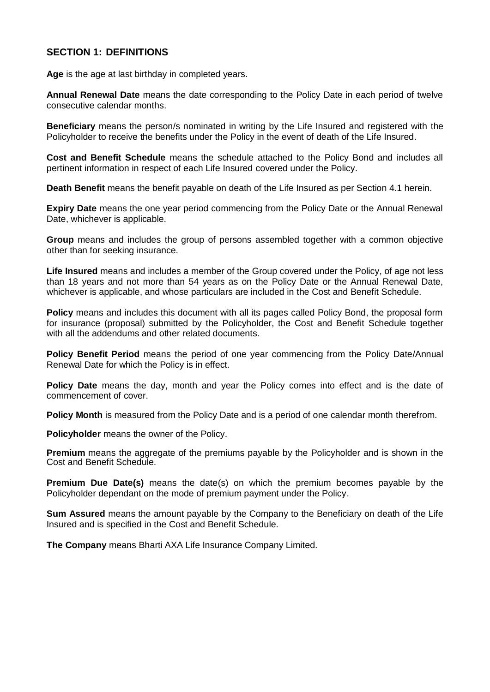# **SECTION 1: DEFINITIONS**

**Age** is the age at last birthday in completed years.

**Annual Renewal Date** means the date corresponding to the Policy Date in each period of twelve consecutive calendar months.

**Beneficiary** means the person/s nominated in writing by the Life Insured and registered with the Policyholder to receive the benefits under the Policy in the event of death of the Life Insured.

**Cost and Benefit Schedule** means the schedule attached to the Policy Bond and includes all pertinent information in respect of each Life Insured covered under the Policy.

**Death Benefit** means the benefit payable on death of the Life Insured as per Section 4.1 herein.

**Expiry Date** means the one year period commencing from the Policy Date or the Annual Renewal Date, whichever is applicable.

**Group** means and includes the group of persons assembled together with a common objective other than for seeking insurance.

**Life Insured** means and includes a member of the Group covered under the Policy, of age not less than 18 years and not more than 54 years as on the Policy Date or the Annual Renewal Date, whichever is applicable, and whose particulars are included in the Cost and Benefit Schedule.

**Policy** means and includes this document with all its pages called Policy Bond, the proposal form for insurance (proposal) submitted by the Policyholder, the Cost and Benefit Schedule together with all the addendums and other related documents.

**Policy Benefit Period** means the period of one year commencing from the Policy Date/Annual Renewal Date for which the Policy is in effect.

**Policy Date** means the day, month and year the Policy comes into effect and is the date of commencement of cover.

**Policy Month** is measured from the Policy Date and is a period of one calendar month therefrom.

**Policyholder** means the owner of the Policy.

**Premium** means the aggregate of the premiums payable by the Policyholder and is shown in the Cost and Benefit Schedule.

**Premium Due Date(s)** means the date(s) on which the premium becomes payable by the Policyholder dependant on the mode of premium payment under the Policy.

**Sum Assured** means the amount payable by the Company to the Beneficiary on death of the Life Insured and is specified in the Cost and Benefit Schedule.

**The Company** means Bharti AXA Life Insurance Company Limited.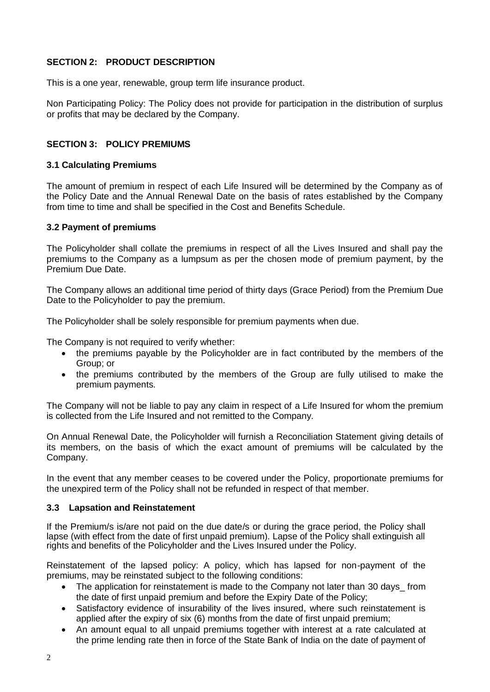# **SECTION 2: PRODUCT DESCRIPTION**

This is a one year, renewable, group term life insurance product.

Non Participating Policy: The Policy does not provide for participation in the distribution of surplus or profits that may be declared by the Company.

## **SECTION 3: POLICY PREMIUMS**

#### **3.1 Calculating Premiums**

The amount of premium in respect of each Life Insured will be determined by the Company as of the Policy Date and the Annual Renewal Date on the basis of rates established by the Company from time to time and shall be specified in the Cost and Benefits Schedule.

#### **3.2 Payment of premiums**

The Policyholder shall collate the premiums in respect of all the Lives Insured and shall pay the premiums to the Company as a lumpsum as per the chosen mode of premium payment, by the Premium Due Date.

The Company allows an additional time period of thirty days (Grace Period) from the Premium Due Date to the Policyholder to pay the premium.

The Policyholder shall be solely responsible for premium payments when due.

The Company is not required to verify whether:

- the premiums payable by the Policyholder are in fact contributed by the members of the Group; or
- the premiums contributed by the members of the Group are fully utilised to make the premium payments.

The Company will not be liable to pay any claim in respect of a Life Insured for whom the premium is collected from the Life Insured and not remitted to the Company.

On Annual Renewal Date, the Policyholder will furnish a Reconciliation Statement giving details of its members, on the basis of which the exact amount of premiums will be calculated by the Company.

In the event that any member ceases to be covered under the Policy, proportionate premiums for the unexpired term of the Policy shall not be refunded in respect of that member.

## **3.3 Lapsation and Reinstatement**

If the Premium/s is/are not paid on the due date/s or during the grace period, the Policy shall lapse (with effect from the date of first unpaid premium). Lapse of the Policy shall extinguish all rights and benefits of the Policyholder and the Lives Insured under the Policy.

Reinstatement of the lapsed policy: A policy, which has lapsed for non-payment of the premiums, may be reinstated subject to the following conditions:

- The application for reinstatement is made to the Company not later than 30 days from the date of first unpaid premium and before the Expiry Date of the Policy;
- Satisfactory evidence of insurability of the lives insured, where such reinstatement is applied after the expiry of six (6) months from the date of first unpaid premium;
- An amount equal to all unpaid premiums together with interest at a rate calculated at the prime lending rate then in force of the State Bank of India on the date of payment of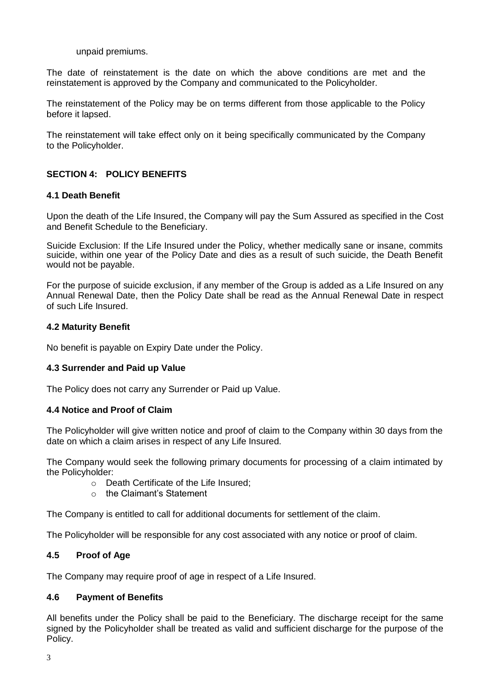#### unpaid premiums.

The date of reinstatement is the date on which the above conditions are met and the reinstatement is approved by the Company and communicated to the Policyholder.

The reinstatement of the Policy may be on terms different from those applicable to the Policy before it lapsed.

The reinstatement will take effect only on it being specifically communicated by the Company to the Policyholder.

## **SECTION 4: POLICY BENEFITS**

#### **4.1 Death Benefit**

Upon the death of the Life Insured, the Company will pay the Sum Assured as specified in the Cost and Benefit Schedule to the Beneficiary.

Suicide Exclusion: If the Life Insured under the Policy, whether medically sane or insane, commits suicide, within one year of the Policy Date and dies as a result of such suicide, the Death Benefit would not be payable.

For the purpose of suicide exclusion, if any member of the Group is added as a Life Insured on any Annual Renewal Date, then the Policy Date shall be read as the Annual Renewal Date in respect of such Life Insured.

#### **4.2 Maturity Benefit**

No benefit is payable on Expiry Date under the Policy.

## **4.3 Surrender and Paid up Value**

The Policy does not carry any Surrender or Paid up Value.

## **4.4 Notice and Proof of Claim**

The Policyholder will give written notice and proof of claim to the Company within 30 days from the date on which a claim arises in respect of any Life Insured.

The Company would seek the following primary documents for processing of a claim intimated by the Policyholder:

- o Death Certificate of the Life Insured;
- o the Claimant's Statement

The Company is entitled to call for additional documents for settlement of the claim.

The Policyholder will be responsible for any cost associated with any notice or proof of claim.

## **4.5 Proof of Age**

The Company may require proof of age in respect of a Life Insured.

## **4.6 Payment of Benefits**

All benefits under the Policy shall be paid to the Beneficiary. The discharge receipt for the same signed by the Policyholder shall be treated as valid and sufficient discharge for the purpose of the Policy.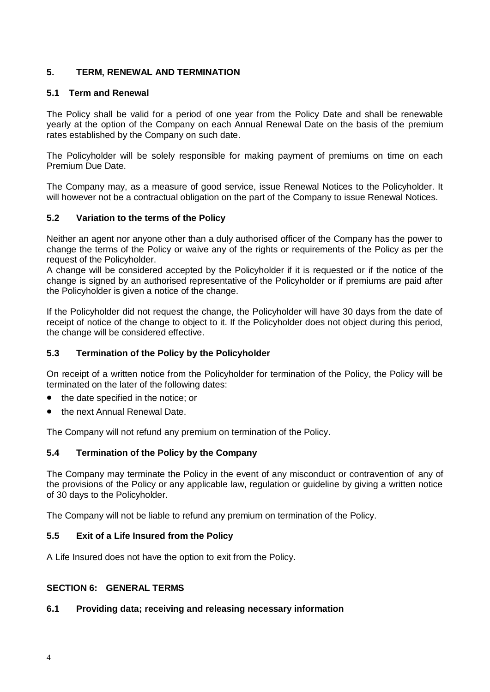# **5. TERM, RENEWAL AND TERMINATION**

## **5.1 Term and Renewal**

The Policy shall be valid for a period of one year from the Policy Date and shall be renewable yearly at the option of the Company on each Annual Renewal Date on the basis of the premium rates established by the Company on such date.

The Policyholder will be solely responsible for making payment of premiums on time on each Premium Due Date.

The Company may, as a measure of good service, issue Renewal Notices to the Policyholder. It will however not be a contractual obligation on the part of the Company to issue Renewal Notices.

## **5.2 Variation to the terms of the Policy**

Neither an agent nor anyone other than a duly authorised officer of the Company has the power to change the terms of the Policy or waive any of the rights or requirements of the Policy as per the request of the Policyholder.

A change will be considered accepted by the Policyholder if it is requested or if the notice of the change is signed by an authorised representative of the Policyholder or if premiums are paid after the Policyholder is given a notice of the change.

If the Policyholder did not request the change, the Policyholder will have 30 days from the date of receipt of notice of the change to object to it. If the Policyholder does not object during this period, the change will be considered effective.

## **5.3 Termination of the Policy by the Policyholder**

On receipt of a written notice from the Policyholder for termination of the Policy, the Policy will be terminated on the later of the following dates:

- the date specified in the notice; or
- the next Annual Renewal Date.

The Company will not refund any premium on termination of the Policy.

## **5.4 Termination of the Policy by the Company**

The Company may terminate the Policy in the event of any misconduct or contravention of any of the provisions of the Policy or any applicable law, regulation or guideline by giving a written notice of 30 days to the Policyholder.

The Company will not be liable to refund any premium on termination of the Policy.

## **5.5 Exit of a Life Insured from the Policy**

A Life Insured does not have the option to exit from the Policy.

## **SECTION 6: GENERAL TERMS**

## **6.1 Providing data; receiving and releasing necessary information**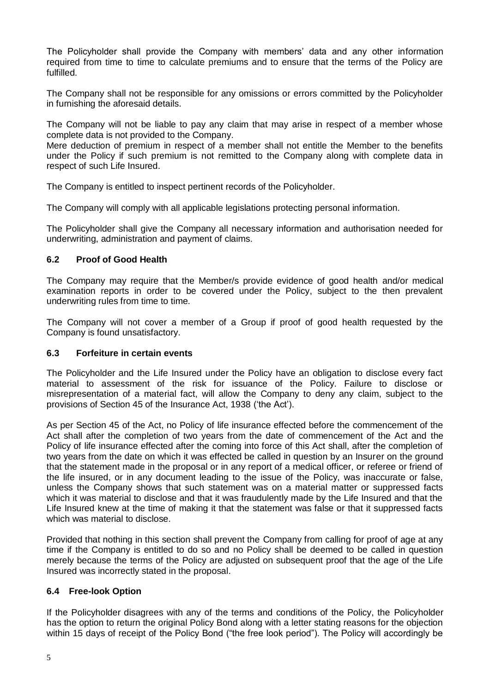The Policyholder shall provide the Company with members' data and any other information required from time to time to calculate premiums and to ensure that the terms of the Policy are fulfilled.

The Company shall not be responsible for any omissions or errors committed by the Policyholder in furnishing the aforesaid details.

The Company will not be liable to pay any claim that may arise in respect of a member whose complete data is not provided to the Company.

Mere deduction of premium in respect of a member shall not entitle the Member to the benefits under the Policy if such premium is not remitted to the Company along with complete data in respect of such Life Insured.

The Company is entitled to inspect pertinent records of the Policyholder.

The Company will comply with all applicable legislations protecting personal information.

The Policyholder shall give the Company all necessary information and authorisation needed for underwriting, administration and payment of claims.

#### **6.2 Proof of Good Health**

The Company may require that the Member/s provide evidence of good health and/or medical examination reports in order to be covered under the Policy, subject to the then prevalent underwriting rules from time to time.

The Company will not cover a member of a Group if proof of good health requested by the Company is found unsatisfactory.

#### **6.3 Forfeiture in certain events**

The Policyholder and the Life Insured under the Policy have an obligation to disclose every fact material to assessment of the risk for issuance of the Policy. Failure to disclose or misrepresentation of a material fact, will allow the Company to deny any claim, subject to the provisions of Section 45 of the Insurance Act, 1938 ('the Act').

As per Section 45 of the Act, no Policy of life insurance effected before the commencement of the Act shall after the completion of two years from the date of commencement of the Act and the Policy of life insurance effected after the coming into force of this Act shall, after the completion of two years from the date on which it was effected be called in question by an Insurer on the ground that the statement made in the proposal or in any report of a medical officer, or referee or friend of the life insured, or in any document leading to the issue of the Policy, was inaccurate or false, unless the Company shows that such statement was on a material matter or suppressed facts which it was material to disclose and that it was fraudulently made by the Life Insured and that the Life Insured knew at the time of making it that the statement was false or that it suppressed facts which was material to disclose.

Provided that nothing in this section shall prevent the Company from calling for proof of age at any time if the Company is entitled to do so and no Policy shall be deemed to be called in question merely because the terms of the Policy are adjusted on subsequent proof that the age of the Life Insured was incorrectly stated in the proposal.

## **6.4 Free-look Option**

If the Policyholder disagrees with any of the terms and conditions of the Policy, the Policyholder has the option to return the original Policy Bond along with a letter stating reasons for the objection within 15 days of receipt of the Policy Bond ("the free look period"). The Policy will accordingly be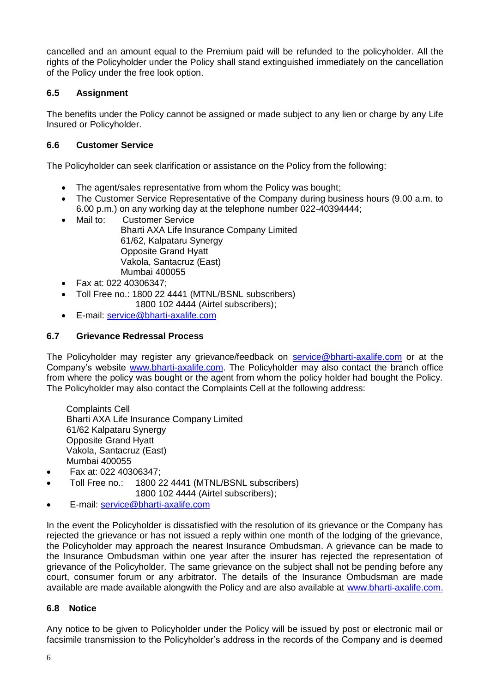cancelled and an amount equal to the Premium paid will be refunded to the policyholder. All the rights of the Policyholder under the Policy shall stand extinguished immediately on the cancellation of the Policy under the free look option.

# **6.5 Assignment**

The benefits under the Policy cannot be assigned or made subject to any lien or charge by any Life Insured or Policyholder.

# **6.6 Customer Service**

The Policyholder can seek clarification or assistance on the Policy from the following:

- The agent/sales representative from whom the Policy was bought;
- The Customer Service Representative of the Company during business hours (9.00 a.m. to 6.00 p.m.) on any working day at the telephone number 022-40394444;
- Mail to: Customer Service

Bharti AXA Life Insurance Company Limited 61/62, Kalpataru Synergy Opposite Grand Hyatt Vakola, Santacruz (East) Mumbai 400055

- Fax at: 022 40306347;
- Toll Free no.: 1800 22 4441 (MTNL/BSNL subscribers)
	- 1800 102 4444 (Airtel subscribers);
- E-mail: [service@bharti-axalife.com](mailto:service@bharti-axalife.com)

## **6.7 Grievance Redressal Process**

The Policyholder may register any grievance/feedback on service@bharti-axalife.com or at the Company's website [www.bharti-axalife.com.](http://www.bharti-axalife.com/) The Policyholder may also contact the branch office from where the policy was bought or the agent from whom the policy holder had bought the Policy. The Policyholder may also contact the Complaints Cell at the following address:

Complaints Cell Bharti AXA Life Insurance Company Limited 61/62 Kalpataru Synergy Opposite Grand Hyatt Vakola, Santacruz (East) Mumbai 400055

- Fax at: 022 40306347;
- Toll Free no.: 1800 22 4441 (MTNL/BSNL subscribers) 1800 102 4444 (Airtel subscribers);
- E-mail: [service@bharti-axalife.com](mailto:service@bharti-axalife.com)

In the event the Policyholder is dissatisfied with the resolution of its grievance or the Company has rejected the grievance or has not issued a reply within one month of the lodging of the grievance, the Policyholder may approach the nearest Insurance Ombudsman. A grievance can be made to the Insurance Ombudsman within one year after the insurer has rejected the representation of grievance of the Policyholder. The same grievance on the subject shall not be pending before any court, consumer forum or any arbitrator. The details of the Insurance Ombudsman are made available are made available alongwith the Policy and are also available at [www.bharti-axalife.com.](http://www.bharti-axalife.com/)

## **6.8 Notice**

Any notice to be given to Policyholder under the Policy will be issued by post or electronic mail or facsimile transmission to the Policyholder's address in the records of the Company and is deemed